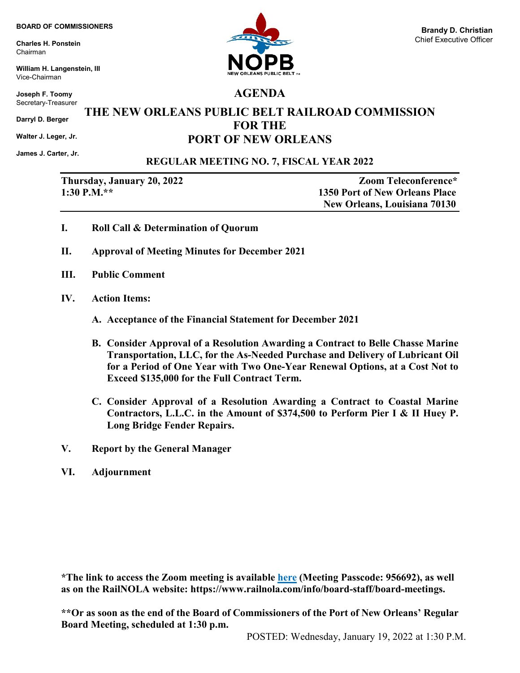**Charles H. Ponstein** Chairman

**William H. Langenstein, III** Vice-Chairman

**Joseph F. Toomy** Secretary-Treasurer

**Darryl D. Berger**

**Walter J. Leger, Jr.**

**James J. Carter, Jr.** 

## **REGULAR MEETING NO. 7, FISCAL YEAR 2022**

**Thursday, January 20, 2022 Zoom Teleconference\* 1:30 P.M.\*\* 1350 Port of New Orleans Place New Orleans, Louisiana 70130**

- **I. Roll Call & Determination of Quorum**
- **II. Approval of Meeting Minutes for December 2021**
- **III. Public Comment**
- **IV. Action Items:**
	- **A. Acceptance of the Financial Statement for December 2021**
	- **B. Consider Approval of a Resolution Awarding a Contract to Belle Chasse Marine Transportation, LLC, for the As-Needed Purchase and Delivery of Lubricant Oil for a Period of One Year with Two One-Year Renewal Options, at a Cost Not to Exceed \$135,000 for the Full Contract Term.**
	- **C. Consider Approval of a Resolution Awarding a Contract to Coastal Marine Contractors, L.L.C. in the Amount of \$374,500 to Perform Pier I & II Huey P. Long Bridge Fender Repairs.**
- **V. Report by the General Manager**
- **VI. Adjournment**

**\*The link to access the Zoom meeting is available [here](https://portnola.zoom.us/j/99893143075) (Meeting Passcode: 956692), as well as on the RailNOLA website: https://www.railnola.com/info/board-staff/board-meetings.**

**\*\*Or as soon as the end of the Board of Commissioners of the Port of New Orleans' Regular Board Meeting, scheduled at 1:30 p.m.**



**AGENDA**

**THE NEW ORLEANS PUBLIC BELT RAILROAD COMMISSION FOR THE PORT OF NEW ORLEANS**